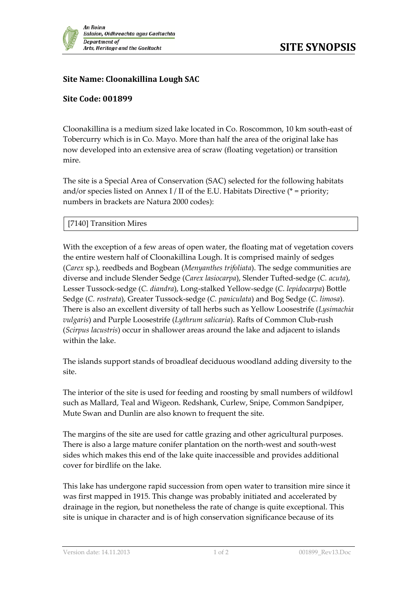

## **Site Name: Cloonakillina Lough SAC**

## **Site Code: 001899**

Cloonakillina is a medium sized lake located in Co. Roscommon, 10 km south-east of Tobercurry which is in Co. Mayo. More than half the area of the original lake has now developed into an extensive area of scraw (floating vegetation) or transition mire.

The site is a Special Area of Conservation (SAC) selected for the following habitats and/or species listed on Annex I / II of the E.U. Habitats Directive ( $*$  = priority; numbers in brackets are Natura 2000 codes):

## [7140] Transition Mires

With the exception of a few areas of open water, the floating mat of vegetation covers the entire western half of Cloonakillina Lough. It is comprised mainly of sedges (*Carex* sp.), reedbeds and Bogbean (*Menyanthes trifoliata*). The sedge communities are diverse and include Slender Sedge (*Carex lasiocarpa*), Slender Tufted-sedge (*C. acuta*), Lesser Tussock-sedge (*C. diandra*), Long-stalked Yellow-sedge (*C. lepidocarpa*) Bottle Sedge (*C. rostrata*), Greater Tussock-sedge (*C. paniculata*) and Bog Sedge (*C. limosa*). There is also an excellent diversity of tall herbs such as Yellow Loosestrife (*Lysimachia vulgaris*) and Purple Loosestrife (*Lythrum salicaria*). Rafts of Common Club-rush (*Scirpus lacustris*) occur in shallower areas around the lake and adjacent to islands within the lake.

The islands support stands of broadleaf deciduous woodland adding diversity to the site.

The interior of the site is used for feeding and roosting by small numbers of wildfowl such as Mallard, Teal and Wigeon. Redshank, Curlew, Snipe, Common Sandpiper, Mute Swan and Dunlin are also known to frequent the site.

The margins of the site are used for cattle grazing and other agricultural purposes. There is also a large mature conifer plantation on the north-west and south-west sides which makes this end of the lake quite inaccessible and provides additional cover for birdlife on the lake.

This lake has undergone rapid succession from open water to transition mire since it was first mapped in 1915. This change was probably initiated and accelerated by drainage in the region, but nonetheless the rate of change is quite exceptional. This site is unique in character and is of high conservation significance because of its